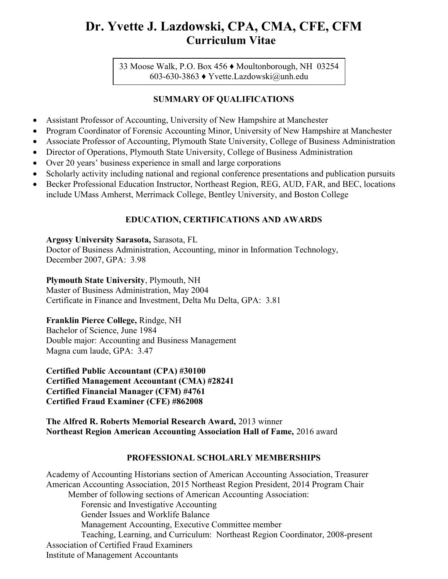# Dr. Yvette J. Lazdowski, CPA, CMA, CFE, CFM Curriculum Vitae

33 Moose Walk, P.O. Box 456 ♦ Moultonborough, NH 03254 603-630-3863 ♦ Yvette.Lazdowski@unh.edu

## SUMMARY OF QUALIFICATIONS

- Assistant Professor of Accounting, University of New Hampshire at Manchester
- Program Coordinator of Forensic Accounting Minor, University of New Hampshire at Manchester
- Associate Professor of Accounting, Plymouth State University, College of Business Administration
- Director of Operations, Plymouth State University, College of Business Administration
- Over 20 years' business experience in small and large corporations
- Scholarly activity including national and regional conference presentations and publication pursuits
- Becker Professional Education Instructor, Northeast Region, REG, AUD, FAR, and BEC, locations include UMass Amherst, Merrimack College, Bentley University, and Boston College

# EDUCATION, CERTIFICATIONS AND AWARDS

### Argosy University Sarasota, Sarasota, FL

Doctor of Business Administration, Accounting, minor in Information Technology, December 2007, GPA: 3.98

## Plymouth State University, Plymouth, NH

Master of Business Administration, May 2004 Certificate in Finance and Investment, Delta Mu Delta, GPA: 3.81

## Franklin Pierce College, Rindge, NH

Bachelor of Science, June 1984 Double major: Accounting and Business Management Magna cum laude, GPA: 3.47

Certified Public Accountant (CPA) #30100 Certified Management Accountant (CMA) #28241 Certified Financial Manager (CFM) #4761 Certified Fraud Examiner (CFE) #862008

The Alfred R. Roberts Memorial Research Award, 2013 winner Northeast Region American Accounting Association Hall of Fame, 2016 award

## PROFESSIONAL SCHOLARLY MEMBERSHIPS

Academy of Accounting Historians section of American Accounting Association, Treasurer American Accounting Association, 2015 Northeast Region President, 2014 Program Chair Member of following sections of American Accounting Association: Forensic and Investigative Accounting Gender Issues and Worklife Balance Management Accounting, Executive Committee member Teaching, Learning, and Curriculum: Northeast Region Coordinator, 2008-present Association of Certified Fraud Examiners

Institute of Management Accountants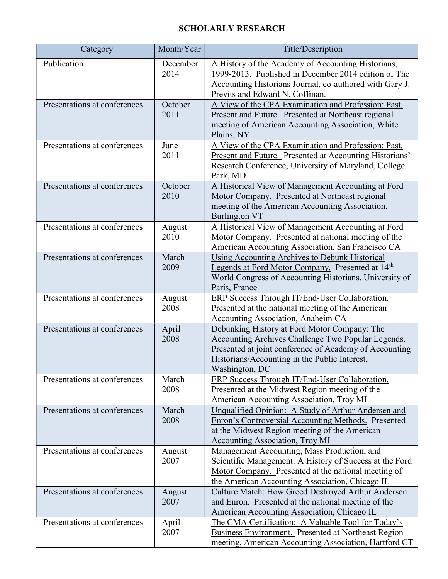# SCHOLARLY RESEARCH

| Category                     | Month/Year       | Title/Description                                                                                                                                                                                                               |
|------------------------------|------------------|---------------------------------------------------------------------------------------------------------------------------------------------------------------------------------------------------------------------------------|
| Publication                  | December<br>2014 | A History of the Academy of Accounting Historians,<br>1999-2013. Published in December 2014 edition of The<br>Accounting Historians Journal, co-authored with Gary J.<br>Previts and Edward N. Coffman.                         |
| Presentations at conferences | October<br>2011  | A View of the CPA Examination and Profession: Past,<br>Present and Future. Presented at Northeast regional<br>meeting of American Accounting Association, White<br>Plains, NY                                                   |
| Presentations at conferences | June<br>2011     | A View of the CPA Examination and Profession: Past,<br>Present and Future. Presented at Accounting Historians'<br>Research Conference, University of Maryland, College<br>Park, MD                                              |
| Presentations at conferences | October<br>2010  | A Historical View of Management Accounting at Ford<br>Motor Company. Presented at Northeast regional<br>meeting of the American Accounting Association,<br><b>Burlington VT</b>                                                 |
| Presentations at conferences | August<br>2010   | A Historical View of Management Accounting at Ford<br>Motor Company. Presented at national meeting of the<br>American Accounting Association, San Francisco CA                                                                  |
| Presentations at conferences | March<br>2009    | <b>Using Accounting Archives to Debunk Historical</b><br>Legends at Ford Motor Company. Presented at 14 <sup>th</sup><br>World Congress of Accounting Historians, University of<br>Paris, France                                |
| Presentations at conferences | August<br>2008   | ERP Success Through IT/End-User Collaboration.<br>Presented at the national meeting of the American<br>Accounting Association, Anaheim CA                                                                                       |
| Presentations at conferences | April<br>2008    | Debunking History at Ford Motor Company: The<br>Accounting Archives Challenge Two Popular Legends.<br>Presented at joint conference of Academy of Accounting<br>Historians/Accounting in the Public Interest,<br>Washington, DC |
| Presentations at conferences | March<br>2008    | ERP Success Through IT/End-User Collaboration.<br>Presented at the Midwest Region meeting of the<br>American Accounting Association, Troy MI                                                                                    |
| Presentations at conferences | March<br>2008    | Unqualified Opinion: A Study of Arthur Andersen and<br>Enron's Controversial Accounting Methods. Presented<br>at the Midwest Region meeting of the American<br><b>Accounting Association, Troy MI</b>                           |
| Presentations at conferences | August<br>2007   | Management Accounting, Mass Production, and<br>Scientific Management: A History of Success at the Ford<br>Motor Company. Presented at the national meeting of<br>the American Accounting Association, Chicago IL                |
| Presentations at conferences | August<br>2007   | <b>Culture Match: How Greed Destroyed Arthur Andersen</b><br>and Enron. Presented at the national meeting of the<br>American Accounting Association, Chicago IL                                                                 |
| Presentations at conferences | April<br>2007    | The CMA Certification: A Valuable Tool for Today's<br><b>Business Environment.</b> Presented at Northeast Region<br>meeting, American Accounting Association, Hartford CT                                                       |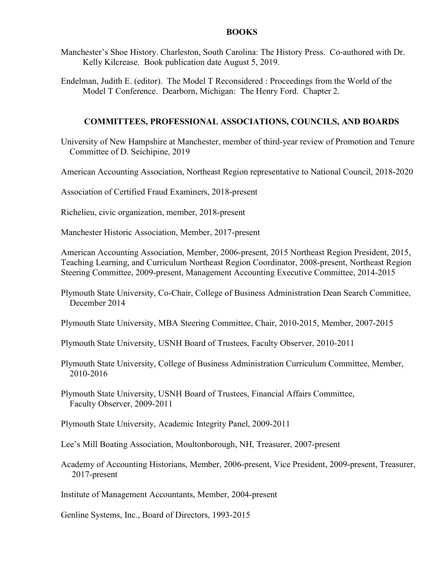#### BOOKS

Manchester's Shoe History. Charleston, South Carolina: The History Press. Co-authored with Dr. Kelly Kilcrease. Book publication date August 5, 2019.

Endelman, Judith E. (editor). The Model T Reconsidered : Proceedings from the World of the Model T Conference. Dearborn, Michigan: The Henry Ford. Chapter 2.

#### COMMITTEES, PROFESSIONAL ASSOCIATIONS, COUNCILS, AND BOARDS

University of New Hampshire at Manchester, member of third-year review of Promotion and Tenure Committee of D. Seichipine, 2019

American Accounting Association, Northeast Region representative to National Council, 2018-2020

Association of Certified Fraud Examiners, 2018-present

Richelieu, civic organization, member, 2018-present

Manchester Historic Association, Member, 2017-present

American Accounting Association, Member, 2006-present, 2015 Northeast Region President, 2015, Teaching Learning, and Curriculum Northeast Region Coordinator, 2008-present, Northeast Region Steering Committee, 2009-present, Management Accounting Executive Committee, 2014-2015

Plymouth State University, Co-Chair, College of Business Administration Dean Search Committee, December 2014

Plymouth State University, MBA Steering Committee, Chair, 2010-2015, Member, 2007-2015

Plymouth State University, USNH Board of Trustees, Faculty Observer, 2010-2011

Plymouth State University, College of Business Administration Curriculum Committee, Member, 2010-2016

Plymouth State University, USNH Board of Trustees, Financial Affairs Committee, Faculty Observer, 2009-2011

Plymouth State University, Academic Integrity Panel, 2009-2011

Lee's Mill Boating Association, Moultonborough, NH, Treasurer, 2007-present

Academy of Accounting Historians, Member, 2006-present, Vice President, 2009-present, Treasurer, 2017-present

Institute of Management Accountants, Member, 2004-present

Genline Systems, Inc., Board of Directors, 1993-2015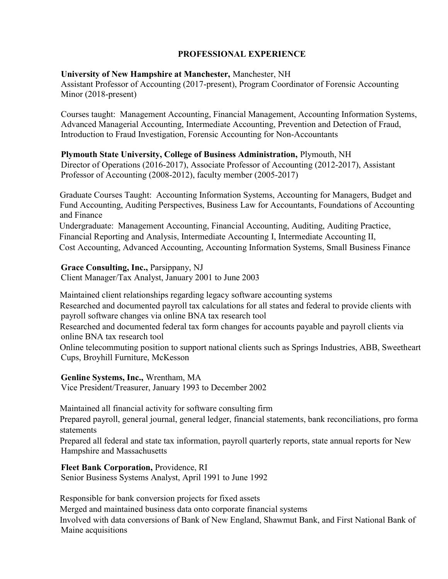## PROFESSIONAL EXPERIENCE

## University of New Hampshire at Manchester, Manchester, NH

Assistant Professor of Accounting (2017-present), Program Coordinator of Forensic Accounting Minor (2018-present)

Courses taught: Management Accounting, Financial Management, Accounting Information Systems, Advanced Managerial Accounting, Intermediate Accounting, Prevention and Detection of Fraud, Introduction to Fraud Investigation, Forensic Accounting for Non-Accountants

### Plymouth State University, College of Business Administration, Plymouth, NH

Director of Operations (2016-2017), Associate Professor of Accounting (2012-2017), Assistant Professor of Accounting (2008-2012), faculty member (2005-2017)

 Graduate Courses Taught: Accounting Information Systems, Accounting for Managers, Budget and Fund Accounting, Auditing Perspectives, Business Law for Accountants, Foundations of Accounting and Finance

Undergraduate: Management Accounting, Financial Accounting, Auditing, Auditing Practice, Financial Reporting and Analysis, Intermediate Accounting I, Intermediate Accounting II, Cost Accounting, Advanced Accounting, Accounting Information Systems, Small Business Finance

### Grace Consulting, Inc., Parsippany, NJ

Client Manager/Tax Analyst, January 2001 to June 2003

Maintained client relationships regarding legacy software accounting systems

 Researched and documented payroll tax calculations for all states and federal to provide clients with payroll software changes via online BNA tax research tool

 Researched and documented federal tax form changes for accounts payable and payroll clients via online BNA tax research tool

Online telecommuting position to support national clients such as Springs Industries, ABB, Sweetheart Cups, Broyhill Furniture, McKesson

#### Genline Systems, Inc., Wrentham, MA

Vice President/Treasurer, January 1993 to December 2002

Maintained all financial activity for software consulting firm

 Prepared payroll, general journal, general ledger, financial statements, bank reconciliations, pro forma statements

 Prepared all federal and state tax information, payroll quarterly reports, state annual reports for New Hampshire and Massachusetts

#### Fleet Bank Corporation, Providence, RI

Senior Business Systems Analyst, April 1991 to June 1992

Responsible for bank conversion projects for fixed assets

Merged and maintained business data onto corporate financial systems

 Involved with data conversions of Bank of New England, Shawmut Bank, and First National Bank of Maine acquisitions